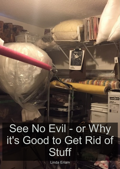## See No Evil - or Why it's Good to Get Rid of **Stuff**

47

Miles ...

Linda Erlam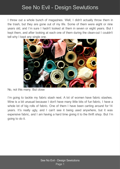## See No Evil - Design Sewlutions

I threw out a whole bunch of magazines. Well, I didn't actually throw them in the trash, but they are gone out of my life. Some of them were eight or nine years old, and I'm sure I hadn't looked at them in seven or eight years. But I kept them, and after looking at each one of them during the clean-out I couldn't tell why I kept any single one.



No, not this many. But close

I'm going to tackle my fabric stash next. A lot of women have fabric stashes. Mine is a bit unusual because I don't have many little bits of fun fabric, I have a whole lot of big rolls of fabric. One of them I have been carting around for 14 years. It's really ugly, and I can't see it being used anywhere, but it was expensive fabric, and I am having a hard time giving it to the thrift shop. But I'm going to do it.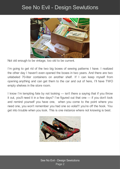## See No Evil - Design Sewlutions



Not old enough to be vintage, too old to be current.

I'm going to get rid of the two big boxes of sewing patterns I have. I realized the other day I haven't even opened the boxes in two years. And there are two unlabeled 70-liter containers on another shelf. If I can keep myself from opening anything and can get them to the car and out of here, I'll have TWO empty shelves in the store room.

I know I'm tempting fate by not looking — isn't there a saying that if you throw it out, you'll need it in a few days? I've figured out that one — if you don't look and remind yourself you have one, when you come to the point where you need one, you won't remember you had one so voila!!! you're off the hook. You get into trouble when you look. This is one instance where not knowing is best.